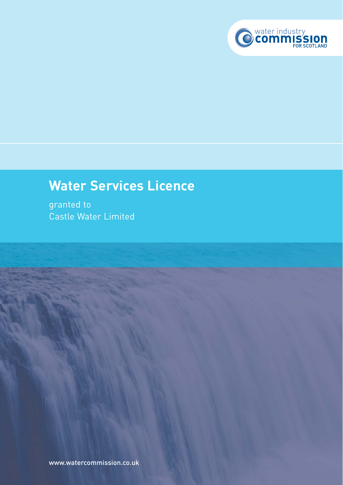

# **Water Services Licence**

granted to Castle Water Limited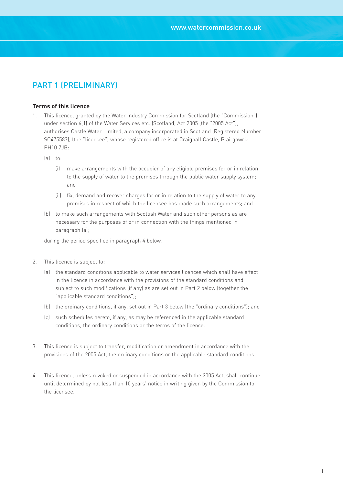## PART 1 (PRELIMINARY)

#### **Terms of this licence**

- 1. This licence, granted by the Water Industry Commission for Scotland (the "Commission") under section 6(1) of the Water Services etc. (Scotland) Act 2005 (the "2005 Act"), authorises Castle Water Limited, a company incorporated in Scotland (Registered Number SC475583), (the "licensee") whose registered office is at Craighall Castle, Blairgowrie PH10 7JB:
	- (a) to:
		- (i) make arrangements with the occupier of any eligible premises for or in relation to the supply of water to the premises through the public water supply system; and
		- (ii) fix, demand and recover charges for or in relation to the supply of water to any premises in respect of which the licensee has made such arrangements; and
	- (b) to make such arrangements with Scottish Water and such other persons as are necessary for the purposes of or in connection with the things mentioned in paragraph (a);

during the period specified in paragraph 4 below.

- 2. This licence is subject to:
	- (a) the standard conditions applicable to water services licences which shall have effect in the licence in accordance with the provisions of the standard conditions and subject to such modifications (if any) as are set out in Part 2 below (together the "applicable standard conditions");
	- (b) the ordinary conditions, if any, set out in Part 3 below (the "ordinary conditions"); and
	- (c) such schedules hereto, if any, as may be referenced in the applicable standard conditions, the ordinary conditions or the terms of the licence.
- 3. This licence is subject to transfer, modification or amendment in accordance with the provisions of the 2005 Act, the ordinary conditions or the applicable standard conditions.
- 4. This licence, unless revoked or suspended in accordance with the 2005 Act, shall continue until determined by not less than 10 years' notice in writing given by the Commission to the licensee.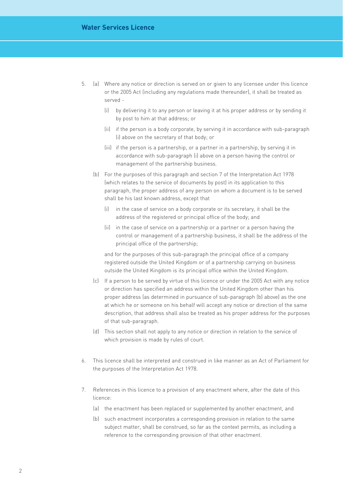- 5. (a) Where any notice or direction is served on or given to any licensee under this licence or the 2005 Act (including any regulations made thereunder), it shall be treated as served -
	- (i) by delivering it to any person or leaving it at his proper address or by sending it by post to him at that address; or
	- (ii) if the person is a body corporate, by serving it in accordance with sub-paragraph (i) above on the secretary of that body; or
	- (iii) if the person is a partnership, or a partner in a partnership, by serving it in accordance with sub-paragraph (i) above on a person having the control or management of the partnership business.
	- (b) For the purposes of this paragraph and section 7 of the Interpretation Act 1978 (which relates to the service of documents by post) in its application to this paragraph, the proper address of any person on whom a document is to be served shall be his last known address, except that
		- (i) in the case of service on a body corporate or its secretary, it shall be the address of the registered or principal office of the body; and
		- (ii) in the case of service on a partnership or a partner or a person having the control or management of a partnership business, it shall be the address of the principal office of the partnership;

and for the purposes of this sub-paragraph the principal office of a company registered outside the United Kingdom or of a partnership carrying on business outside the United Kingdom is its principal office within the United Kingdom.

- (c) If a person to be served by virtue of this licence or under the 2005 Act with any notice or direction has specified an address within the United Kingdom other than his proper address (as determined in pursuance of sub-paragraph (b) above) as the one at which he or someone on his behalf will accept any notice or direction of the same description, that address shall also be treated as his proper address for the purposes of that sub-paragraph.
- (d) This section shall not apply to any notice or direction in relation to the service of which provision is made by rules of court.
- 6. This licence shall be interpreted and construed in like manner as an Act of Parliament for the purposes of the Interpretation Act 1978.
- 7. References in this licence to a provision of any enactment where, after the date of this licence:
	- (a) the enactment has been replaced or supplemented by another enactment, and
	- (b) such enactment incorporates a corresponding provision in relation to the same subject matter, shall be construed, so far as the context permits, as including a reference to the corresponding provision of that other enactment.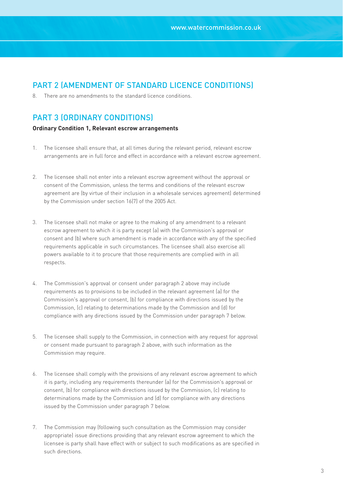## PART 2 (AMENDMENT OF STANDARD LICENCE CONDITIONS)

8. There are no amendments to the standard licence conditions.

## PART 3 (ORDINARY CONDITIONS)

### **Ordinary Condition 1, Relevant escrow arrangements**

- 1. The licensee shall ensure that, at all times during the relevant period, relevant escrow arrangements are in full force and effect in accordance with a relevant escrow agreement.
- 2. The licensee shall not enter into a relevant escrow agreement without the approval or consent of the Commission, unless the terms and conditions of the relevant escrow agreement are (by virtue of their inclusion in a wholesale services agreement) determined by the Commission under section 16(7) of the 2005 Act.
- 3. The licensee shall not make or agree to the making of any amendment to a relevant escrow agreement to which it is party except (a) with the Commission's approval or consent and (b) where such amendment is made in accordance with any of the specified requirements applicable in such circumstances. The licensee shall also exercise all powers available to it to procure that those requirements are complied with in all respects.
- 4. The Commission's approval or consent under paragraph 2 above may include requirements as to provisions to be included in the relevant agreement (a) for the Commission's approval or consent, (b) for compliance with directions issued by the Commission, (c) relating to determinations made by the Commission and (d) for compliance with any directions issued by the Commission under paragraph 7 below.
- 5. The licensee shall supply to the Commission, in connection with any request for approval or consent made pursuant to paragraph 2 above, with such information as the Commission may require.
- 6. The licensee shall comply with the provisions of any relevant escrow agreement to which it is party, including any requirements thereunder (a) for the Commission's approval or consent, (b) for compliance with directions issued by the Commission, (c) relating to determinations made by the Commission and (d) for compliance with any directions issued by the Commission under paragraph 7 below.
- 7. The Commission may (following such consultation as the Commission may consider appropriate) issue directions providing that any relevant escrow agreement to which the licensee is party shall have effect with or subject to such modifications as are specified in such directions.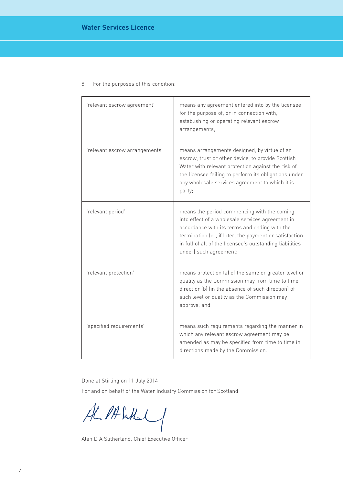| 'relevant escrow agreement'    | means any agreement entered into by the licensee<br>for the purpose of, or in connection with,<br>establishing or operating relevant escrow<br>arrangements;                                                                                                                                     |
|--------------------------------|--------------------------------------------------------------------------------------------------------------------------------------------------------------------------------------------------------------------------------------------------------------------------------------------------|
| 'relevant escrow arrangements' | means arrangements designed, by virtue of an<br>escrow, trust or other device, to provide Scottish<br>Water with relevant protection against the risk of<br>the licensee failing to perform its obligations under<br>any wholesale services agreement to which it is<br>party;                   |
| 'relevant period'              | means the period commencing with the coming<br>into effect of a wholesale services agreement in<br>accordance with its terms and ending with the<br>termination (or, if later, the payment or satisfaction<br>in full of all of the licensee's outstanding liabilities<br>under) such agreement; |
| 'relevant protection'          | means protection (a) of the same or greater level or<br>quality as the Commission may from time to time<br>direct or (b) (in the absence of such direction) of<br>such level or quality as the Commission may<br>approve; and                                                                    |
| 'specified requirements'       | means such requirements regarding the manner in<br>which any relevant escrow agreement may be<br>amended as may be specified from time to time in<br>directions made by the Commission.                                                                                                          |

8. For the purposes of this condition:

Done at Stirling on 11 July 2014

For and on behalf of the Water Industry Commission for Scotland

ALPAGALI

Alan D A Sutherland, Chief Executive Officer